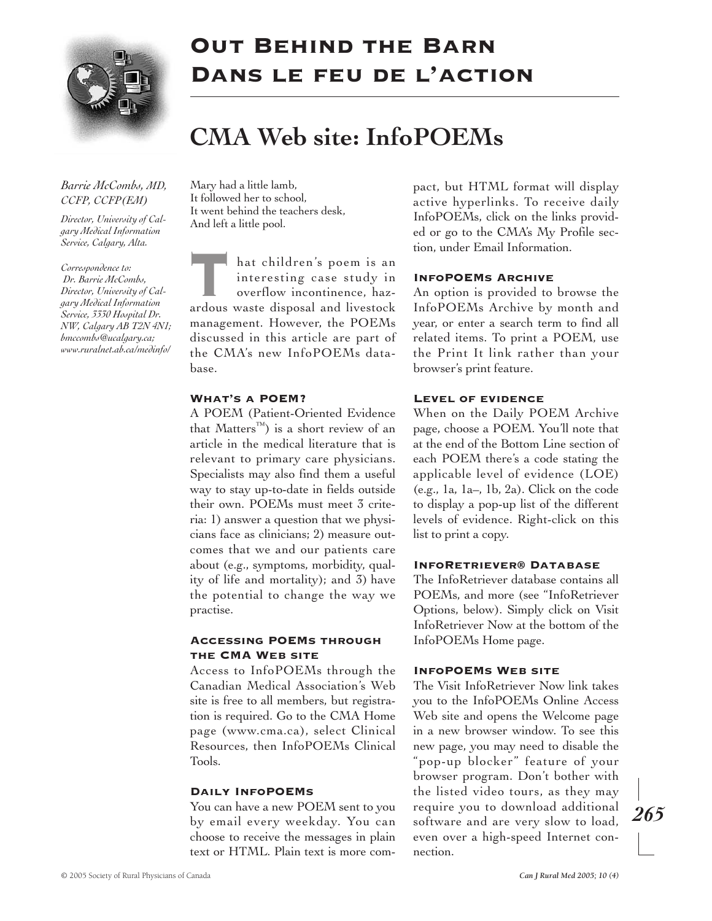

# Out Behind the Barn Dans le feu de l'action

# **CMA Web site: InfoPOEMs**

# *Barrie McCombs, MD, CCFP, CCFP(EM)*

*Director, University of Calgary Medical Information Service, Calgary, Alta.*

*Correspondence to: Dr. Barrie McCombs, Director, University of Calgary Medical Information Service, 3330 Hospital Dr. NW, Calgary AB T2N 4N1; bmccombs@ucalgary.ca; www.ruralnet.ab.ca/medinfo/* Mary had a little lamb, It followed her to school, It went behind the teachers desk, And left a little pool.

hat children's poem is an interesting case study in overflow incontinence, hazardous waste disposal and livestock management. However, the POEMs discussed in this article are part of the CMA's new InfoPOEMs database.

#### What's a POEM?

A POEM (Patient-Oriented Evidence that Matters™) is a short review of an article in the medical literature that is relevant to primary care physicians. Specialists may also find them a useful way to stay up-to-date in fields outside their own. POEMs must meet 3 criteria: 1) answer a question that we physicians face as clinicians; 2) measure outcomes that we and our patients care about (e.g., symptoms, morbidity, quality of life and mortality); and 3) have the potential to change the way we practise.

## Accessing POEMs through THE CMA WEB SITE

Access to InfoPOEMs through the Canadian Medical Association's Web site is free to all members, but registration is required. Go to the CMA Home page (www.cma.ca), select Clinical Resources, then InfoPOEMs Clinical Tools.

#### Daily InfoPOEMs

You can have a new POEM sent to you by email every weekday. You can choose to receive the messages in plain text or HTML. Plain text is more compact, but HTML format will display active hyperlinks. To receive daily InfoPOEMs, click on the links provided or go to the CMA's My Profile section, under Email Information.

#### InfoPOEMs Archive

An option is provided to browse the InfoPOEMs Archive by month and year, or enter a search term to find all related items. To print a POEM, use the Print It link rather than your browser's print feature.

#### Level of evidence

When on the Daily POEM Archive page, choose a POEM. You'll note that at the end of the Bottom Line section of each POEM there's a code stating the applicable level of evidence (LOE) (e.g., 1a, 1a–, 1b, 2a). Click on the code to display a pop-up list of the different levels of evidence. Right-click on this list to print a copy.

#### InfoRetriever® Database

The InfoRetriever database contains all POEMs, and more (see "InfoRetriever Options, below). Simply click on Visit InfoRetriever Now at the bottom of the InfoPOEMs Home page.

#### INFOPOEMS WEB SITE

The Visit InfoRetriever Now link takes you to the InfoPOEMs Online Access Web site and opens the Welcome page in a new browser window. To see this new page, you may need to disable the "pop-up blocker" feature of your browser program. Don't bother with the listed video tours, as they may require you to download additional software and are very slow to load, even over a high-speed Internet connection.

*265*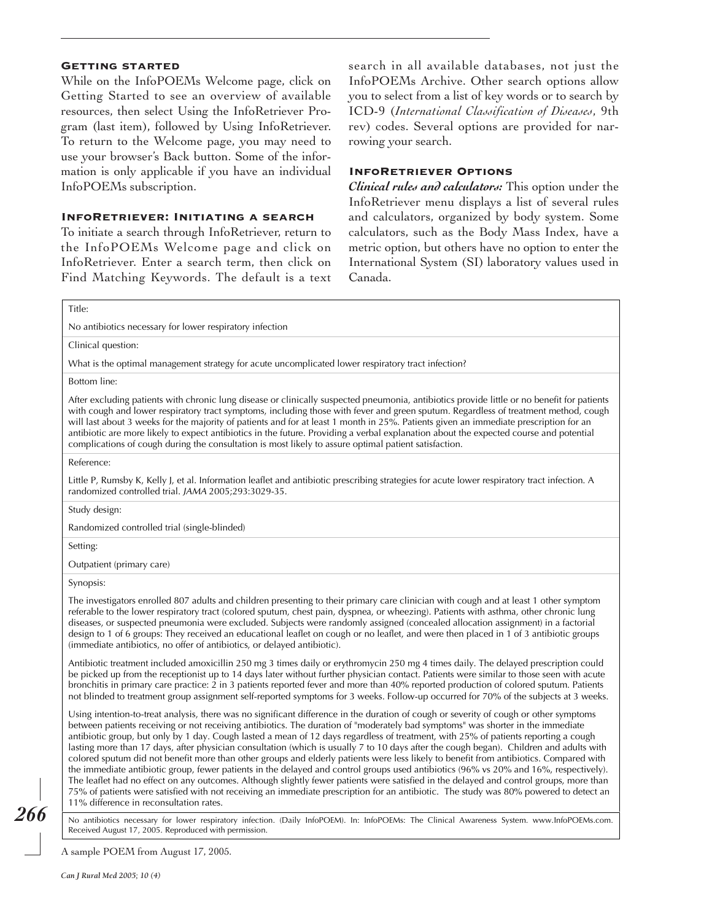#### Getting started

While on the InfoPOEMs Welcome page, click on Getting Started to see an overview of available resources, then select Using the InfoRetriever Program (last item), followed by Using InfoRetriever. To return to the Welcome page, you may need to use your browser's Back button. Some of the information is only applicable if you have an individual InfoPOEMs subscription.

#### InfoRetriever: Initiating a search

To initiate a search through InfoRetriever, return to the InfoPOEMs Welcome page and click on InfoRetriever. Enter a search term, then click on Find Matching Keywords. The default is a text

search in all available databases, not just the InfoPOEMs Archive. Other search options allow you to select from a list of key words or to search by ICD-9 (*International Classification of Diseases*, 9th rev) codes. Several options are provided for narrowing your search.

### InfoRetriever Options

*Clinical rules and calculators:* This option under the InfoRetriever menu displays a list of several rules and calculators, organized by body system. Some calculators, such as the Body Mass Index, have a metric option, but others have no option to enter the International System (SI) laboratory values used in Canada.

Title:

No antibiotics necessary for lower respiratory infection

Clinical question:

What is the optimal management strategy for acute uncomplicated lower respiratory tract infection?

Bottom line:

After excluding patients with chronic lung disease or clinically suspected pneumonia, antibiotics provide little or no benefit for patients with cough and lower respiratory tract symptoms, including those with fever and green sputum. Regardless of treatment method, cough will last about 3 weeks for the majority of patients and for at least 1 month in 25%. Patients given an immediate prescription for an antibiotic are more likely to expect antibiotics in the future. Providing a verbal explanation about the expected course and potential complications of cough during the consultation is most likely to assure optimal patient satisfaction.

Reference:

Little P, Rumsby K, Kelly J, et al. Information leaflet and antibiotic prescribing strategies for acute lower respiratory tract infection. A randomized controlled trial. JAMA 2005;293:3029-35.

Study design:

Randomized controlled trial (single-blinded)

Setting:

Outpatient (primary care)

Synopsis:

The investigators enrolled 807 adults and children presenting to their primary care clinician with cough and at least 1 other symptom referable to the lower respiratory tract (colored sputum, chest pain, dyspnea, or wheezing). Patients with asthma, other chronic lung diseases, or suspected pneumonia were excluded. Subjects were randomly assigned (concealed allocation assignment) in a factorial design to 1 of 6 groups: They received an educational leaflet on cough or no leaflet, and were then placed in 1 of 3 antibiotic groups (immediate antibiotics, no offer of antibiotics, or delayed antibiotic).

Antibiotic treatment included amoxicillin 250 mg 3 times daily or erythromycin 250 mg 4 times daily. The delayed prescription could be picked up from the receptionist up to 14 days later without further physician contact. Patients were similar to those seen with acute bronchitis in primary care practice: 2 in 3 patients reported fever and more than 40% reported production of colored sputum. Patients not blinded to treatment group assignment self-reported symptoms for 3 weeks. Follow-up occurred for 70% of the subjects at 3 weeks.

Using intention-to-treat analysis, there was no significant difference in the duration of cough or severity of cough or other symptoms between patients receiving or not receiving antibiotics. The duration of "moderately bad symptoms" was shorter in the immediate antibiotic group, but only by 1 day. Cough lasted a mean of 12 days regardless of treatment, with 25% of patients reporting a cough lasting more than 17 days, after physician consultation (which is usually 7 to 10 days after the cough began). Children and adults with colored sputum did not benefit more than other groups and elderly patients were less likely to benefit from antibiotics. Compared with the immediate antibiotic group, fewer patients in the delayed and control groups used antibiotics (96% vs 20% and 16%, respectively). The leaflet had no effect on any outcomes. Although slightly fewer patients were satisfied in the delayed and control groups, more than 75% of patients were satisfied with not receiving an immediate prescription for an antibiotic. The study was 80% powered to detect an 11% difference in reconsultation rates.

No antibiotics necessary for lower respiratory infection. (Daily InfoPOEM). In: InfoPOEMs: The Clinical Awareness System. www.InfoPOEMs.com. Received August 17, 2005. Reproduced with permission.

A sample POEM from August 17, 2005.

*266*